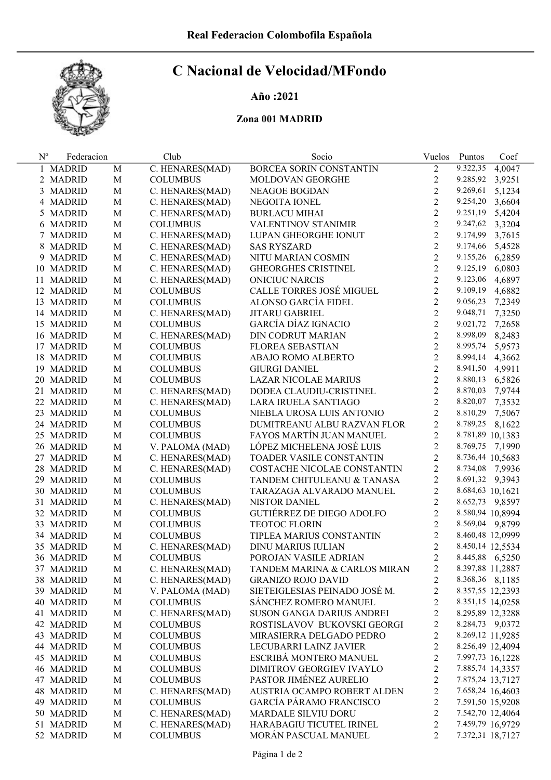

# C Nacional de Velocidad/MFondo

## Año :2021

### Zona 001 MADRID

| $N^{\rm o}$ | Federacion             |             | Club            | Socio                           | Vuelos         | Puntos           | Coef   |
|-------------|------------------------|-------------|-----------------|---------------------------------|----------------|------------------|--------|
|             | 1 MADRID               | M           | C. HENARES(MAD) | BORCEA SORIN CONSTANTIN         | $\overline{2}$ | 9.322,35         | 4,0047 |
|             | 2 MADRID               | $\mathbf M$ | <b>COLUMBUS</b> | MOLDOVAN GEORGHE                | 2              | 9.285,92         | 3,9251 |
|             | 3 MADRID               | $\mathbf M$ | C. HENARES(MAD) | NEAGOE BOGDAN                   | $\overline{2}$ | 9.269,61         | 5,1234 |
|             | 4 MADRID               | $\mathbf M$ | C. HENARES(MAD) | NEGOITA IONEL                   | $\overline{2}$ | 9.254,20         | 3,6604 |
|             | 5 MADRID               | $\mathbf M$ | C. HENARES(MAD) | <b>BURLACU MIHAI</b>            | $\overline{2}$ | 9.251,19         | 5,4204 |
|             | 6 MADRID               | $\mathbf M$ | <b>COLUMBUS</b> | <b>VALENTINOV STANIMIR</b>      | $\overline{2}$ | 9.247,62         | 3,3204 |
|             | 7 MADRID               | $\mathbf M$ | C. HENARES(MAD) | LUPAN GHEORGHE IONUT            | $\overline{2}$ | 9.174,99         | 3,7615 |
|             | 8 MADRID               | $\mathbf M$ | C. HENARES(MAD) | <b>SAS RYSZARD</b>              | $\overline{2}$ | 9.174,66         | 5,4528 |
|             | 9 MADRID               | $\mathbf M$ | C. HENARES(MAD) | NITU MARIAN COSMIN              | $\overline{c}$ | 9.155,26         | 6,2859 |
|             | 10 MADRID              | M           | C. HENARES(MAD) | <b>GHEORGHES CRISTINEL</b>      | $\overline{2}$ | 9.125,19         | 6,0803 |
|             | 11 MADRID              | M           | C. HENARES(MAD) | <b>ONICIUC NARCIS</b>           | $\overline{2}$ | 9.123,06         | 4,6897 |
|             | 12 MADRID              | M           | <b>COLUMBUS</b> | CALLE TORRES JOSÉ MIGUEL        | $\overline{2}$ | 9.109,19         | 4,6882 |
|             | 13 MADRID              | M           | <b>COLUMBUS</b> | ALONSO GARCÍA FIDEL             | $\overline{2}$ | 9.056,23         | 7,2349 |
|             | 14 MADRID              | M           | C. HENARES(MAD) | <b>JITARU GABRIEL</b>           | $\overline{2}$ | 9.048,71         | 7,3250 |
|             | 15 MADRID              | M           | <b>COLUMBUS</b> | GARCÍA DÍAZ IGNACIO             | $\overline{2}$ | 9.021,72         | 7,2658 |
|             | 16 MADRID              | $\mathbf M$ | C. HENARES(MAD) | DIN CODRUT MARIAN               | $\overline{2}$ | 8.998,09         | 8,2483 |
|             | 17 MADRID              | $\mathbf M$ | <b>COLUMBUS</b> | <b>FLOREA SEBASTIAN</b>         | $\overline{2}$ | 8.995,74         | 5,9573 |
|             | 18 MADRID              | $\mathbf M$ | <b>COLUMBUS</b> | ABAJO ROMO ALBERTO              | $\overline{2}$ | 8.994,14         | 4,3662 |
|             | 19 MADRID              | $\mathbf M$ | <b>COLUMBUS</b> | <b>GIURGI DANIEL</b>            | $\overline{2}$ | 8.941,50 4,9911  |        |
|             | 20 MADRID              | $\mathbf M$ | <b>COLUMBUS</b> | LAZAR NICOLAE MARIUS            | $\overline{2}$ | 8.880,13 6,5826  |        |
|             | 21 MADRID              | $\mathbf M$ | C. HENARES(MAD) | DODEA CLAUDIU-CRISTINEL         | $\overline{2}$ | 8.870,03 7,9744  |        |
|             | 22 MADRID              | $\mathbf M$ | C. HENARES(MAD) | LARA IRUELA SANTIAGO            | $\overline{2}$ | 8.820,07 7,3532  |        |
|             | 23 MADRID              | $\mathbf M$ | <b>COLUMBUS</b> | NIEBLA UROSA LUIS ANTONIO       | $\overline{c}$ | 8.810,29 7,5067  |        |
|             | 24 MADRID              | $\mathbf M$ | <b>COLUMBUS</b> | DUMITREANU ALBU RAZVAN FLOR     | $\overline{2}$ | 8.789,25 8,1622  |        |
|             | 25 MADRID              | $\mathbf M$ | <b>COLUMBUS</b> | FAYOS MARTÍN JUAN MANUEL        | $\overline{2}$ | 8.781,89 10,1383 |        |
|             | 26 MADRID              | $\mathbf M$ | V. PALOMA (MAD) | LÓPEZ MICHELENA JOSÉ LUIS       | $\overline{2}$ | 8.769,75 7,1990  |        |
|             | 27 MADRID              | M           | C. HENARES(MAD) | TOADER VASILE CONSTANTIN        | $\overline{2}$ | 8.736,44 10,5683 |        |
|             | 28 MADRID              | M           | C. HENARES(MAD) | COSTACHE NICOLAE CONSTANTIN     | $\overline{c}$ | 8.734,08 7,9936  |        |
|             | 29 MADRID              | M           | <b>COLUMBUS</b> | TANDEM CHITULEANU & TANASA      | $\overline{2}$ | 8.691,32 9,3943  |        |
|             | 30 MADRID              | M           | <b>COLUMBUS</b> | TARAZAGA ALVARADO MANUEL        | $\overline{2}$ | 8.684,63 10,1621 |        |
|             | 31 MADRID              | M           | C. HENARES(MAD) | NISTOR DANIEL                   | $\overline{c}$ | 8.652,73 9,8597  |        |
|             | 32 MADRID              | M           | <b>COLUMBUS</b> | GUTIÉRREZ DE DIEGO ADOLFO       | $\overline{c}$ | 8.580,94 10,8994 |        |
|             | 33 MADRID              | M           | <b>COLUMBUS</b> | <b>TEOTOC FLORIN</b>            | $\overline{c}$ | 8.569,04 9,8799  |        |
|             | 34 MADRID              | M           | <b>COLUMBUS</b> | TIPLEA MARIUS CONSTANTIN        | $\overline{2}$ | 8.460,48 12,0999 |        |
|             | 35 MADRID              | M           | C. HENARES(MAD) | DINU MARIUS IULIAN              | $\overline{2}$ | 8.450,14 12,5534 |        |
|             | 36 MADRID              | M           | <b>COLUMBUS</b> | POROJAN VASILE ADRIAN           | $\overline{2}$ | 8.445,88 6,5250  |        |
|             | 37 MADRID              | М           | C. HENARES(MAD) | TANDEM MARINA & CARLOS MIRAN    | 2              | 8.397,88 11,2887 |        |
|             | 38 MADRID              | $\mathbf M$ | C. HENARES(MAD) | <b>GRANIZO ROJO DAVID</b>       | 2              | 8.368,36 8,1185  |        |
|             | 39 MADRID              | $\mathbf M$ | V. PALOMA (MAD) | SIETEIGLESIAS PEINADO JOSÉ M.   | 2              | 8.357,55 12,2393 |        |
|             | 40 MADRID              | $\mathbf M$ | <b>COLUMBUS</b> | SÁNCHEZ ROMERO MANUEL           | $\overline{c}$ | 8.351,15 14,0258 |        |
|             | 41 MADRID              | $\mathbf M$ | C. HENARES(MAD) | SUSON GANGA DARIUS ANDREI       | $\overline{c}$ | 8.295,89 12,3288 |        |
|             | 42 MADRID              | $\mathbf M$ | <b>COLUMBUS</b> | ROSTISLAVOV BUKOVSKI GEORGI     | $\overline{c}$ | 8.284,73 9,0372  |        |
|             | 43 MADRID              | $\mathbf M$ | <b>COLUMBUS</b> | MIRASIERRA DELGADO PEDRO        | $\overline{c}$ | 8.269,12 11,9285 |        |
|             | 44 MADRID              | $\mathbf M$ | <b>COLUMBUS</b> | LECUBARRI LAINZ JAVIER          | $\overline{c}$ | 8.256,49 12,4094 |        |
|             | 45 MADRID              | $\mathbf M$ | <b>COLUMBUS</b> | ESCRIBÁ MONTERO MANUEL          | $\overline{c}$ | 7.997,73 16,1228 |        |
|             | 46 MADRID              | $\mathbf M$ | <b>COLUMBUS</b> | <b>DIMITROV GEORGIEV IVAYLO</b> | $\overline{c}$ | 7.885,74 14,3357 |        |
|             | 47 MADRID              | $\mathbf M$ | <b>COLUMBUS</b> | PASTOR JIMÉNEZ AURELIO          | $\overline{c}$ | 7.875,24 13,7127 |        |
|             | 48 MADRID              | M           | C. HENARES(MAD) | AUSTRIA OCAMPO ROBERT ALDEN     | $\overline{c}$ | 7.658,24 16,4603 |        |
|             | 49 MADRID              | $\mathbf M$ | <b>COLUMBUS</b> | <b>GARCÍA PÁRAMO FRANCISCO</b>  | $\overline{c}$ | 7.591,50 15,9208 |        |
|             |                        | $\mathbf M$ | C. HENARES(MAD) | MARDALE SILVIU DORU             | $\overline{c}$ | 7.542,70 12,4064 |        |
|             | 50 MADRID<br>51 MADRID | $\mathbf M$ | C. HENARES(MAD) | HARABAGIU TICUTEL IRINEL        | $\overline{c}$ | 7.459,79 16,9729 |        |
|             |                        | M           | <b>COLUMBUS</b> | MORÁN PASCUAL MANUEL            | $\overline{2}$ | 7.372,31 18,7127 |        |
|             | 52 MADRID              |             |                 |                                 |                |                  |        |